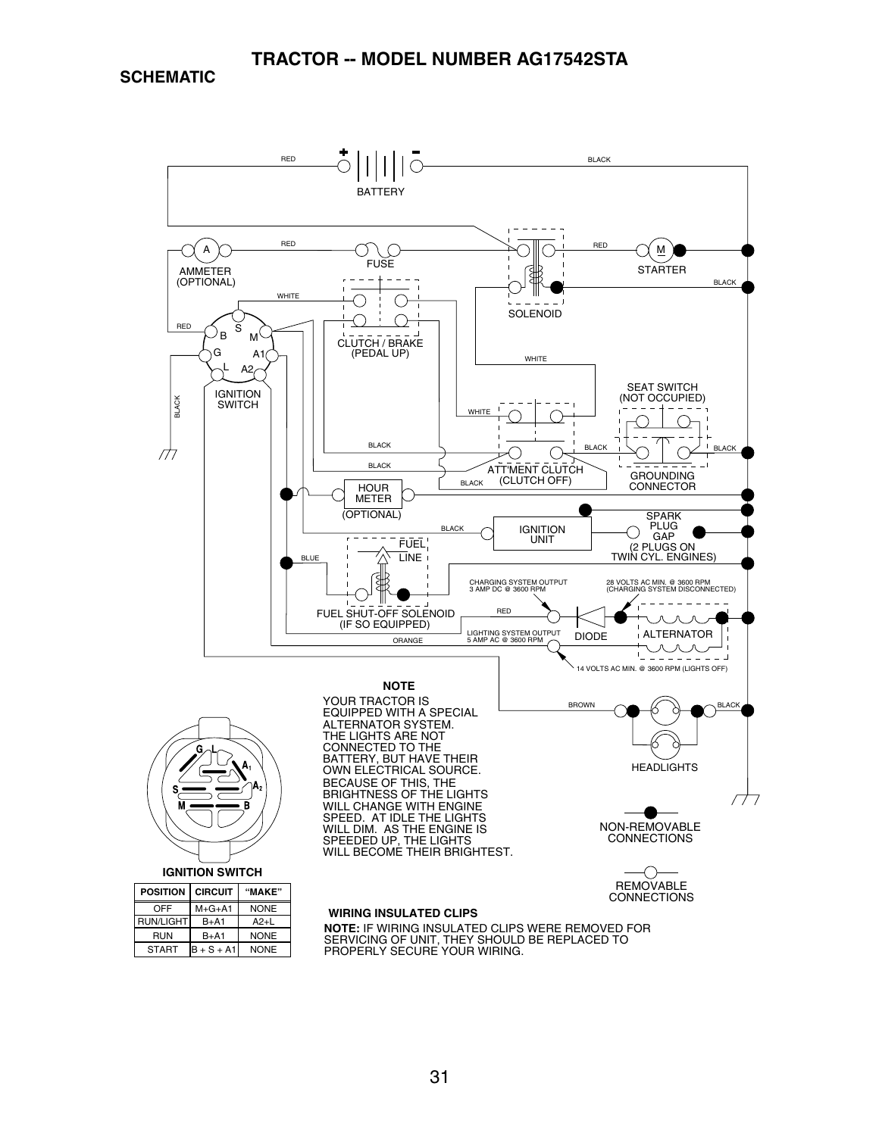### **TRACTOR -- MODEL NUMBER AG17542STA**

**SCHEMATIC**

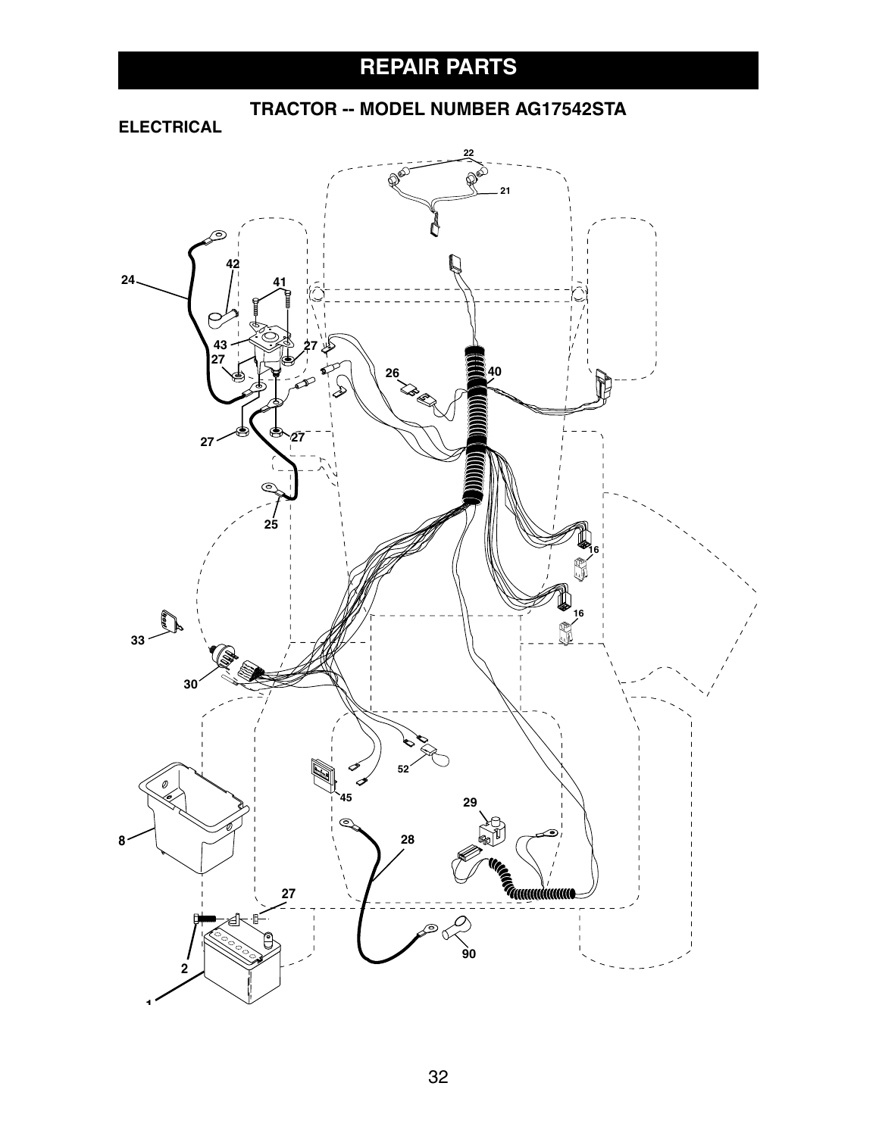# **REPAIR PARTS**

# **TRACTOR -- MODEL NUMBER AG17542STA**

**ELECTRICAL**

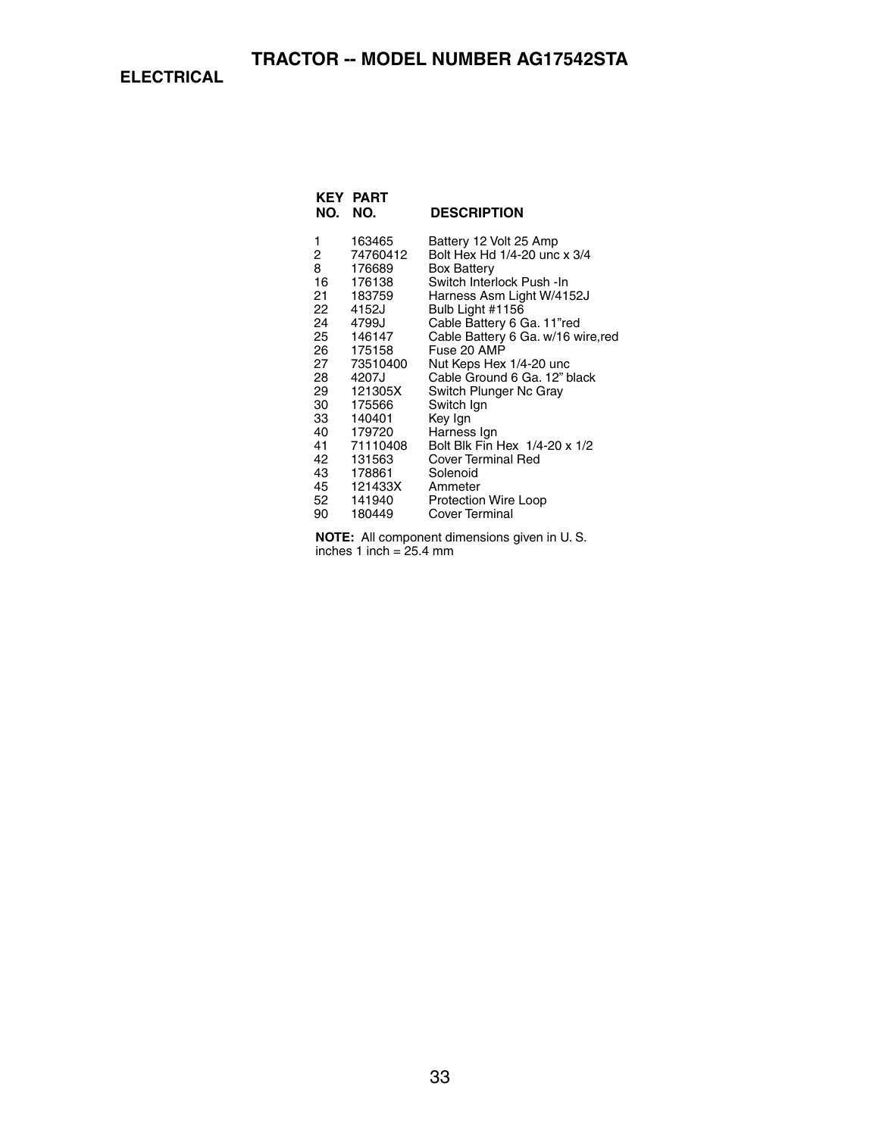**ELECTRICAL**

| NO. | <b>KEY PART</b><br>NO. | <b>DESCRIPTION</b>                 |
|-----|------------------------|------------------------------------|
| 1   | 163465                 | Battery 12 Volt 25 Amp             |
| 2   | 74760412               | Bolt Hex Hd 1/4-20 unc x 3/4       |
| 8   | 176689                 | <b>Box Battery</b>                 |
| 16  | 176138                 | Switch Interlock Push - In         |
| 21  | 183759                 | Harness Asm Light W/4152J          |
| 22  | 4152J                  | Bulb Light #1156                   |
| 24  | 4799J                  | Cable Battery 6 Ga. 11"red         |
| 25  | 146147                 | Cable Battery 6 Ga. w/16 wire, red |
| 26  | 175158                 | Fuse 20 AMP                        |
| 27  | 73510400               | Nut Keps Hex 1/4-20 unc            |
| 28  | 4207J                  | Cable Ground 6 Ga. 12" black       |
| 29  | 121305X                | Switch Plunger Nc Gray             |
| 30  | 175566                 | Switch Ign                         |
| 33  | 140401                 | Key Ign                            |
| 40  | 179720                 | Harness Ign                        |
| 41  | 71110408               | Bolt Blk Fin Hex 1/4-20 x 1/2      |
| 42  | 131563                 | Cover Terminal Red                 |
| 43  | 178861                 | Solenoid                           |
| 45  | 121433X                | Ammeter                            |
| 52  | 141940                 | Protection Wire Loop               |
| 90  | 180449                 | Cover Terminal                     |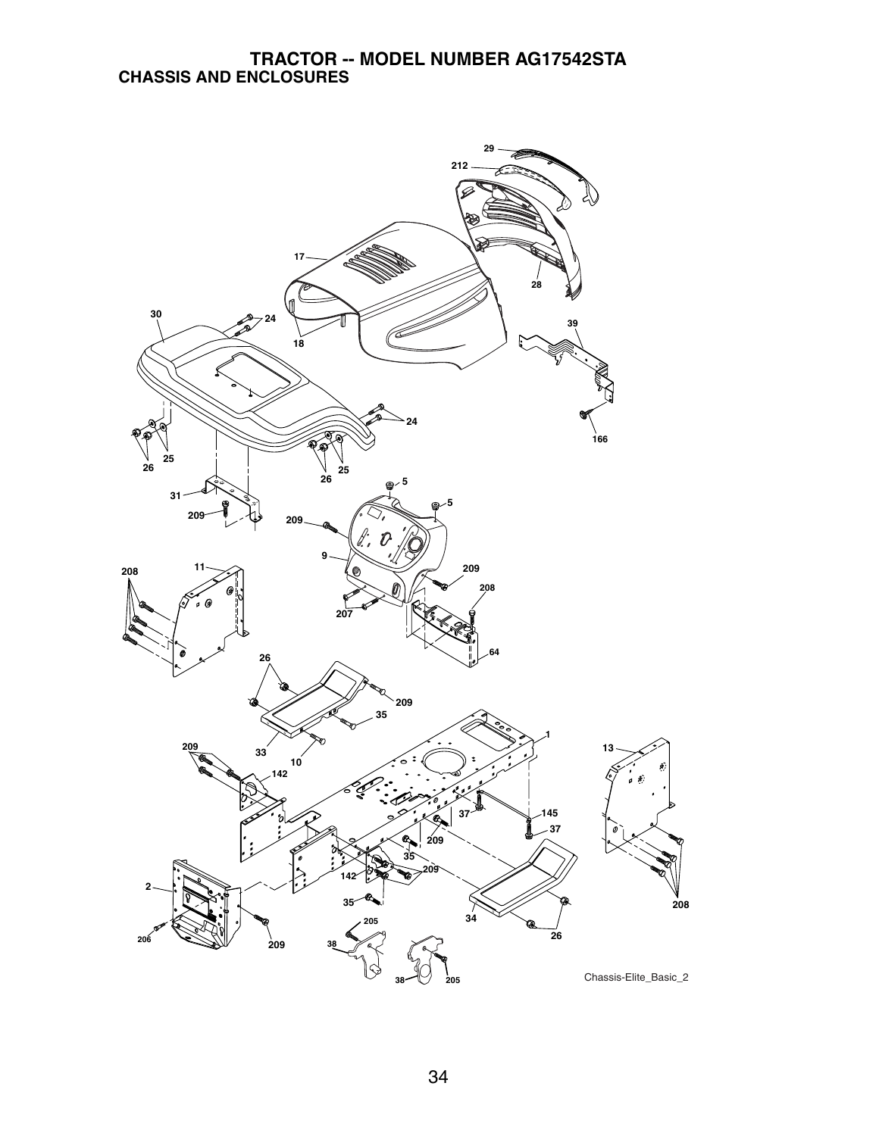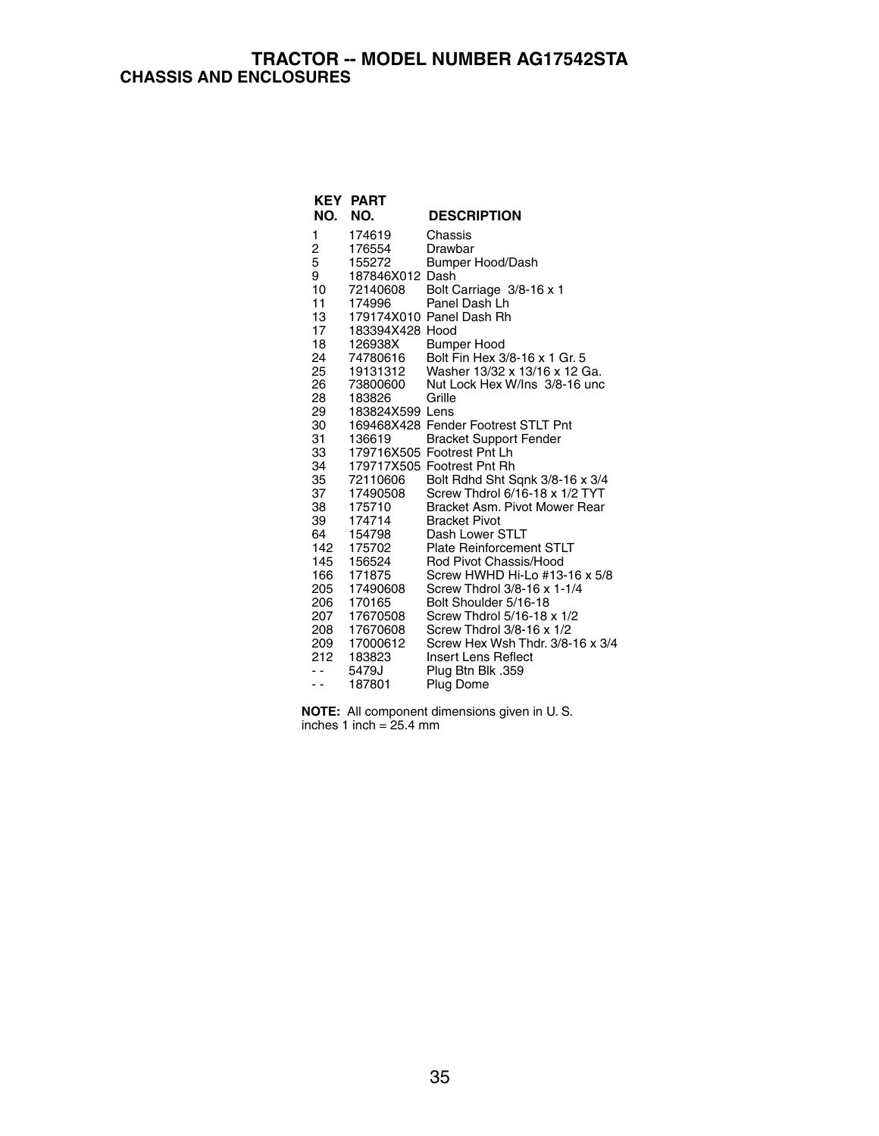### **TRACTOR -- MODEL NUMBER AG17542STA CHASSIS AND ENCLOSURES**

| NO. | <b>KEY PART</b><br>NO. | <b>DESCRIPTION</b>                  |
|-----|------------------------|-------------------------------------|
| 1   | 174619                 | Chassis                             |
| 2   | 176554                 | Drawbar                             |
| 5   | 155272                 | Bumper Hood/Dash                    |
| 9   | 187846X012 Dash        |                                     |
| 10  | 72140608               | Bolt Carriage 3/8-16 x 1            |
| 11  | 174996                 | Panel Dash Lh                       |
| 13  |                        | 179174X010 Panel Dash Rh            |
| 17  | 183394X428 Hood        |                                     |
| 18  | 126938X                | <b>Bumper Hood</b>                  |
| 24  | 74780616               | Bolt Fin Hex 3/8-16 x 1 Gr. 5       |
| 25  | 19131312               | Washer 13/32 x 13/16 x 12 Ga.       |
| 26  | 73800600               | Nut Lock Hex W/Ins 3/8-16 unc       |
| 28  | 183826                 | Grille                              |
| 29  | 183824X599 Lens        |                                     |
| 30  |                        | 169468X428 Fender Footrest STLT Pnt |
| 31  | 136619                 | <b>Bracket Support Fender</b>       |
| 33  |                        | 179716X505 Footrest Pnt Lh          |
| 34  |                        | 179717X505 Footrest Pnt Rh          |
| 35  | 72110606               | Bolt Rdhd Sht Sqnk 3/8-16 x 3/4     |
| 37  | 17490508               | Screw Thdrol 6/16-18 x 1/2 TYT      |
| 38  | 175710                 | Bracket Asm. Pivot Mower Rear       |
| 39  | 174714                 | <b>Bracket Pivot</b>                |
| 64  | 154798                 | Dash Lower STLT                     |
| 142 | 175702                 | <b>Plate Reinforcement STLT</b>     |
| 145 | 156524                 | Rod Pivot Chassis/Hood              |
| 166 | 171875                 | Screw HWHD Hi-Lo #13-16 x 5/8       |
| 205 | 17490608               | Screw Thdrol 3/8-16 x 1-1/4         |
| 206 | 170165                 | Bolt Shoulder 5/16-18               |
| 207 | 17670508               | Screw Thdrol 5/16-18 x 1/2          |
| 208 | 17670608               | Screw Thdrol 3/8-16 x 1/2           |
| 209 | 17000612               | Screw Hex Wsh Thdr, 3/8-16 x 3/4    |
| 212 | 183823                 | Insert Lens Reflect                 |
| - - | 5479J                  | Plug Btn Blk .359                   |
| . . | 187801                 | Plug Dome                           |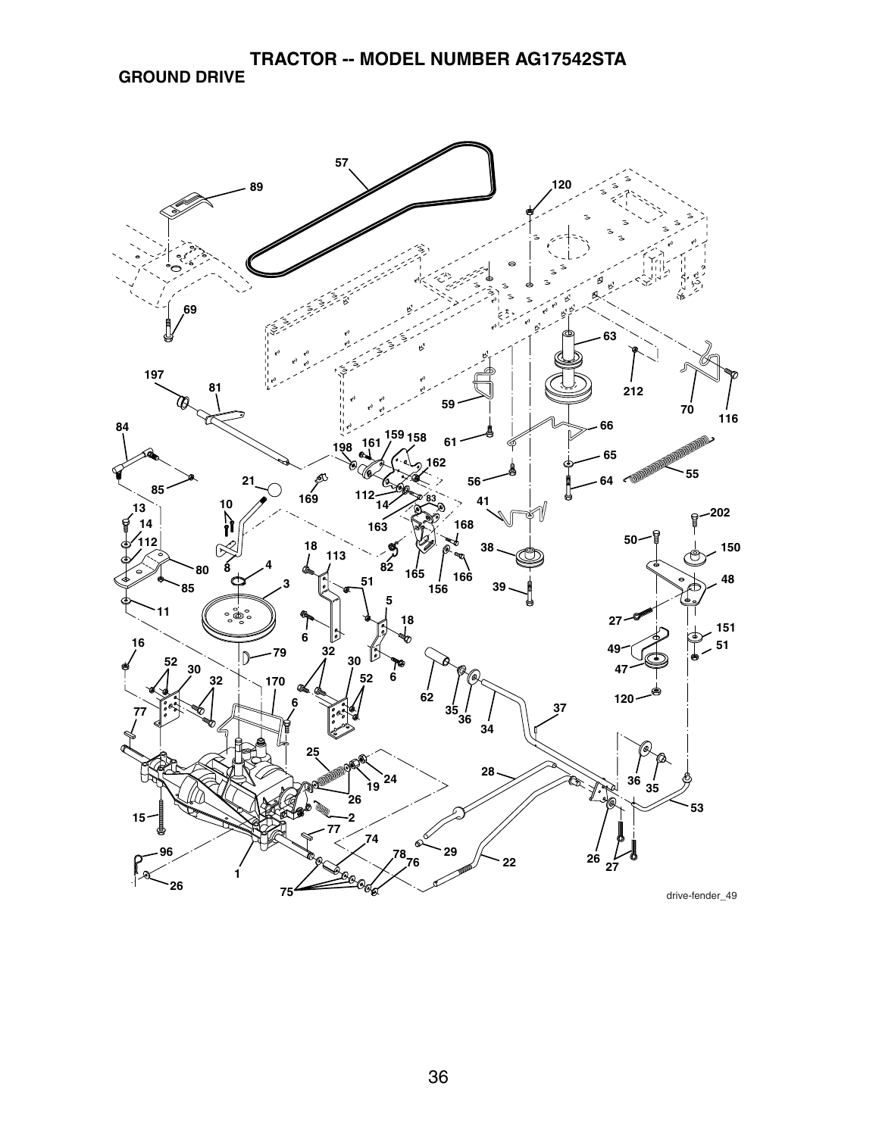### **TRACTOR -- MODEL NUMBER AG17542STA GROUND DRIVE**

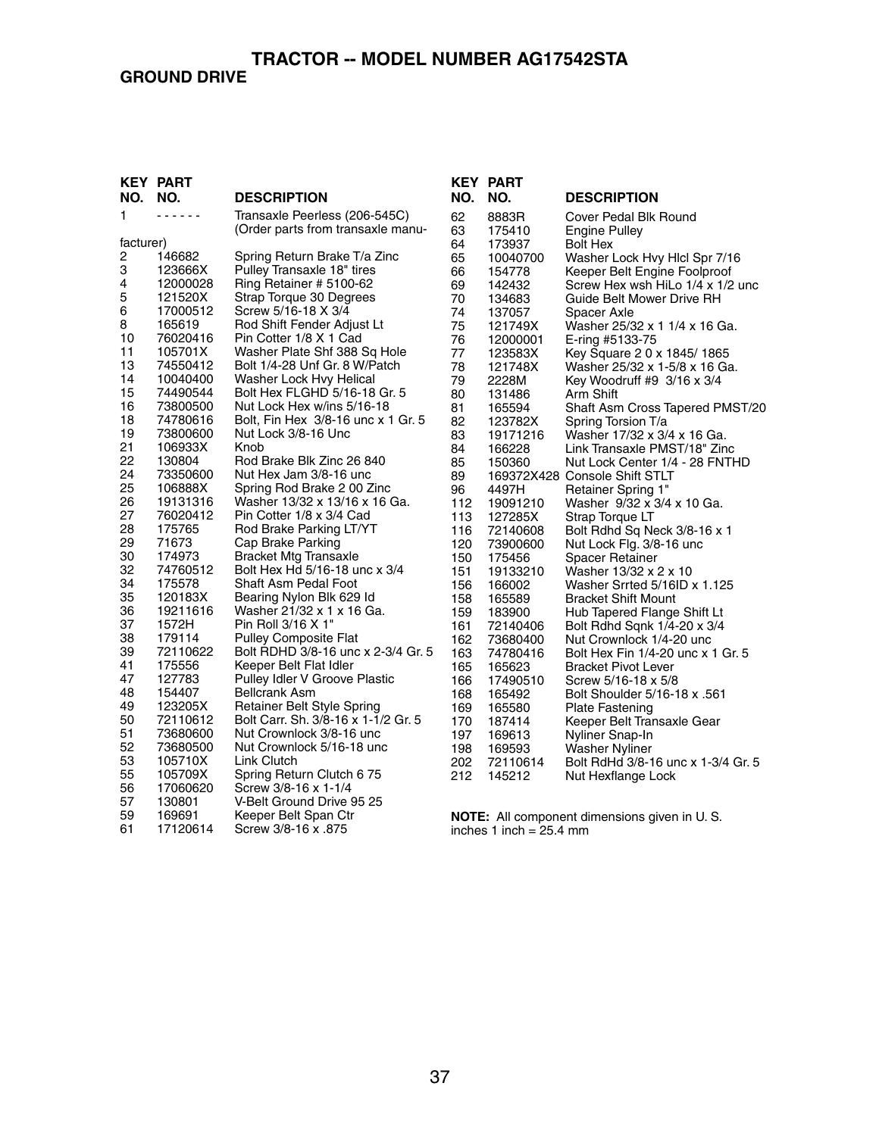### **GROUND DRIVE**

### **TRACTOR -- MODEL NUMBER AG17542STA**

#### **KEY PART DESCRIPTION** 1 - - - - - - Transaxle Peerless (206-545C) (Order parts from transaxle manufacturer)<br>2 146682 2 146682 Spring Return Brake T/a Zinc<br>3 123666X Pullev Transaxle 18" tires 3 123666X Pulley Transaxle 18" tires 4 12000028 Ring Retainer # 5100-62 5 121520X Strap Torque 30 Degrees 17000512 Screw 5/16-18 X 3/4<br>165619 Rod Shift Fender Ad 8 165619 Rod Shift Fender Adjust Lt<br>10 76020416 Pin Cotter 1/8 X 1 Cad 10 76020416 Pin Cotter 1/8 X 1 Cad 105701X Washer Plate Shf 388 Sq Hole<br>74550412 Bolt 1/4-28 Unf Gr. 8 W/Patch 13 74550412 Bolt 1/4-28 Unf Gr. 8 W/Patch<br>14 10040400 Washer Lock Hvy Helical 14 10040400 Washer Lock Hvy Helical<br>15 74490544 Bolt Hex FLGHD 5/16-18 15 74490544 Bolt Hex FLGHD 5/16-18 Gr. 5<br>16 73800500 Nut Lock Hex w/ins 5/16-18 16 73800500 Nut Lock Hex w/ins 5/16-18 18 74780616 Bolt, Fin Hex 3/8-16 unc x 1 Gr. 5<br>19 73800600 Nut Lock 3/8-16 Unc 19 73800600 Nut Lock 3/8-16 Unc 21 106933X<br>22 130804 22 130804 Rod Brake Blk Zinc 26 840<br>24 73350600 Nut Hex Jam 3/8-16 unc 24 73350600 Nut Hex Jam 3/8-16 unc<br>25 106888X Spring Rod Brake 2 00 Z 25 106888X Spring Rod Brake 2 00 Zinc<br>26 19131316 Washer 13/32 x 13/16 x 16 0 26 19131316 Washer 13/32 x 13/16 x 16 Ga.<br>27 76020412 Pin Cotter 1/8 x 3/4 Cad 76020412 Pin Cotter 1/8 x 3/4 Cad<br>175765 Rod Brake Parking LT/Y 28 175765 Rod Brake Parking LT/YT<br>29 71673 Cap Brake Parking 29 71673 Cap Brake Parking 30 174973 Bracket Mtg Transaxle 32 74760512 Bolt Hex Hd 5/16-18 unc x 3/4 34 175578 Shaft Asm Pedal Foot<br>35 120183X Bearing Nylon Blk 629 35 120183X Bearing Nylon Blk 629 Id 36 19211616 Washer 21/32 x 1 x 16 Ga.<br>37 1572H Pin Roll 3/16 X 1" 37 1572H Pin Roll 3/16 X 1" 38 179114 Pulley Composite Flat<br>39 72110622 Bolt RDHD 3/8-16 unc 39 72110622 Bolt RDHD 3/8-16 unc x 2-3/4 Gr. 5 41 175556 Keeper Belt Flat Idler<br>47 127783 Pullev Idler V Groove 47 127783 Pulley Idler V Groove Plastic<br>48 154407 Bellcrank Asm 48 154407 Bellcrank Asm<br>49 123205X Retainer Belt S 49 123205X Retainer Belt Style Spring 72110612 Bolt Carr. Sh. 3/8-16 x 1-1/2 Gr. 5<br>73680600 Nut Crownlock 3/8-16 unc 51 73680600 Nut Crownlock 3/8-16 unc 52 73680500 Nut Crownlock 5/16-18 unc 53 105710X Link Clutch 55 105709X Spring Return Clutch 6 75<br>56 17060620 Screw 3/8-16 x 1-1/4 56 17060620 Screw 3/8-16 x 1-1/4 57 130801 V-Belt Ground Drive 95 25 59 169691 Keeper Belt Span Ctr<br>61 17120614 Screw 3/8-16 x .875 Screw 3/8-16 x .875

| <b>KEY</b> | <b>PART</b> |                                                                 |
|------------|-------------|-----------------------------------------------------------------|
| NO.        | NO.         | <b>DESCRIPTION</b>                                              |
| 62         | 8883R       | Cover Pedal Blk Round                                           |
| 63         | 175410      | <b>Engine Pulley</b>                                            |
| 64         | 173937      | <b>Bolt Hex</b>                                                 |
| 65         | 10040700    | Washer Lock Hvy Hicl Spr 7/16                                   |
| 66         | 154778      | Keeper Belt Engine Foolproof                                    |
| 69         | 142432      | Screw Hex wsh HiLo 1/4 x 1/2 unc                                |
| 70         | 134683      | Guide Belt Mower Drive RH                                       |
| 74         | 137057      | Spacer Axle                                                     |
| 75         | 121749X     | Washer 25/32 x 1 1/4 x 16 Ga.                                   |
| 76         | 12000001    | E-ring #5133-75                                                 |
| 77         | 123583X     | Key Square 2 0 x 1845/1865                                      |
| 78         | 121748X     | Washer 25/32 x 1-5/8 x 16 Ga.                                   |
| 79         | 2228M       | Key Woodruff #9 3/16 x 3/4                                      |
| 80         | 131486      | Arm Shift                                                       |
| 81         | 165594      | Shaft Asm Cross Tapered PMST/20                                 |
| 82         | 123782X     | Spring Torsion T/a                                              |
| 83         | 19171216    | Washer 17/32 x 3/4 x 16 Ga.                                     |
| 84         | 166228      | Link Transaxle PMST/18" Zinc                                    |
| 85<br>89   | 150360      | Nut Lock Center 1/4 - 28 FNTHD<br>169372X428 Console Shift STLT |
| 96         | 4497H       | Retainer Spring 1"                                              |
| 112        | 19091210    | Washer 9/32 x 3/4 x 10 Ga.                                      |
| 113        | 127285X     | Strap Torque LT                                                 |
| 116        | 72140608    | Bolt Rdhd Sq Neck 3/8-16 x 1                                    |
| 120        | 73900600    | Nut Lock Flg. 3/8-16 unc                                        |
| 150        | 175456      | Spacer Retainer                                                 |
| 151        | 19133210    | Washer 13/32 x 2 x 10                                           |
| 156        | 166002      | Washer Srrted 5/16ID x 1.125                                    |
| 158        | 165589      | <b>Bracket Shift Mount</b>                                      |
| 159        | 183900      | Hub Tapered Flange Shift Lt                                     |
| 161        | 72140406    | Bolt Rdhd Sqnk 1/4-20 x 3/4                                     |
| 162        | 73680400    | Nut Crownlock 1/4-20 unc                                        |
| 163        | 74780416    | Bolt Hex Fin 1/4-20 unc x 1 Gr. 5                               |
| 165        | 165623      | <b>Bracket Pivot Lever</b>                                      |
| 166        | 17490510    | Screw 5/16-18 x 5/8                                             |
| 168        | 165492      | Bolt Shoulder 5/16-18 x .561                                    |
| 169        | 165580      | <b>Plate Fastening</b>                                          |
| 170        | 187414      | Keeper Belt Transaxle Gear                                      |
| 197        | 169613      | Nyliner Snap-In                                                 |
| 198        | 169593      | <b>Washer Nyliner</b>                                           |
| 202        | 72110614    | Bolt RdHd 3/8-16 unc x 1-3/4 Gr. 5                              |
| 212        | 145212      | Nut Hexflange Lock                                              |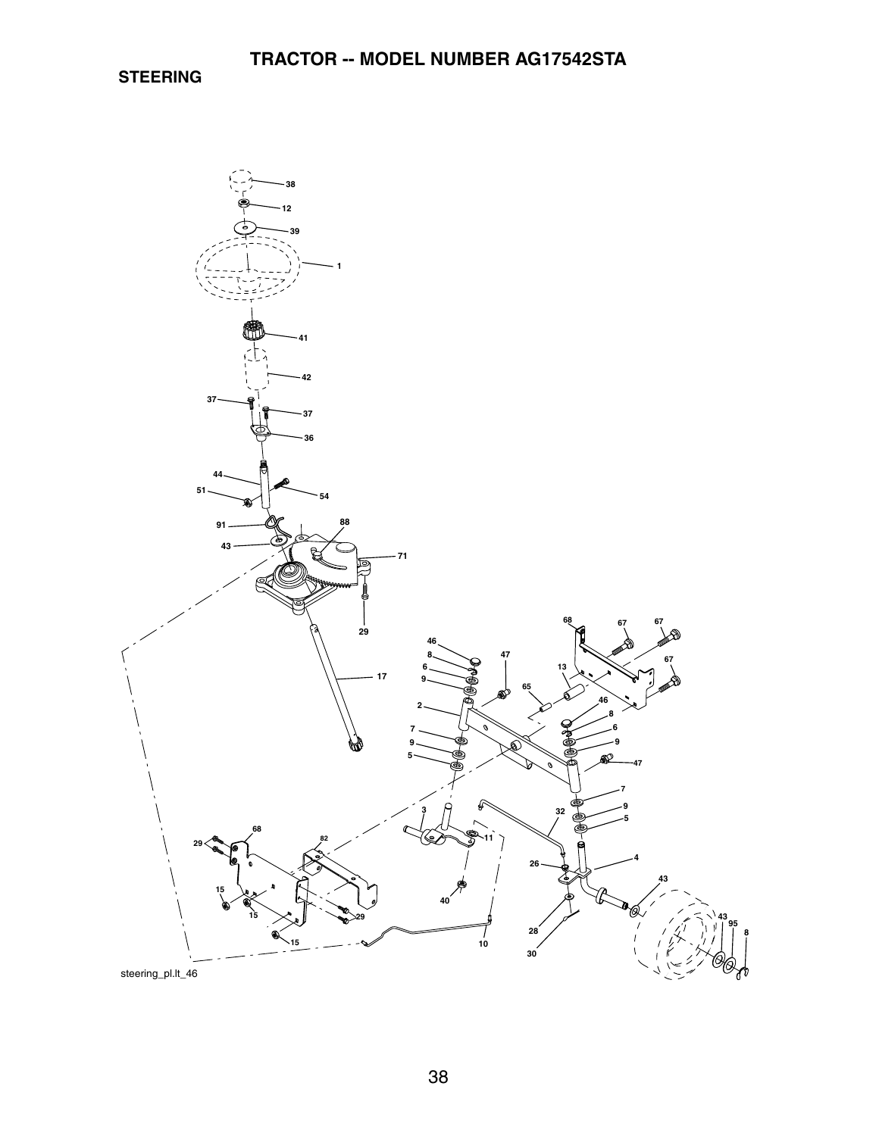**STEERING**

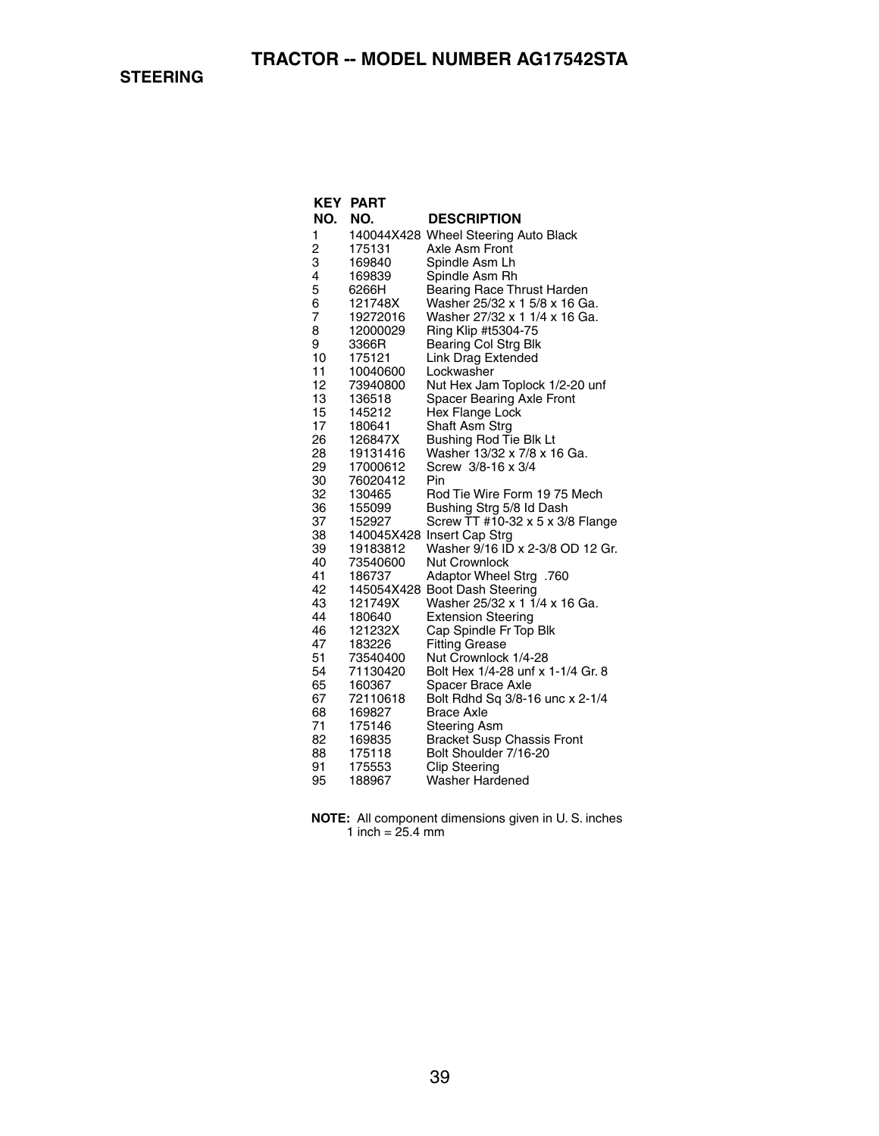|                | <b>KEY PART</b>      |                                                   |
|----------------|----------------------|---------------------------------------------------|
| NO.            | NO.                  | <b>DESCRIPTION</b>                                |
| 1              |                      | 140044X428 Wheel Steering Auto Black              |
| $\overline{c}$ | 175131               | Axle Asm Front                                    |
| 3              | 169840               | Spindle Asm Lh                                    |
| 4              | 169839               | Spindle Asm Rh                                    |
| 5              | 6266H                | Bearing Race Thrust Harden                        |
| 6              | 121748X              | Washer 25/32 x 1 5/8 x 16 Ga.                     |
| 7              | 19272016             | Washer 27/32 x 1 1/4 x 16 Ga.                     |
| 8              | 12000029             | Ring Klip #t5304-75                               |
| 9              | 3366R                | Bearing Col Strg Blk                              |
| 10             | 175121               | Link Drag Extended                                |
| 11             | 10040600             | Lockwasher                                        |
| 12             | 73940800             | Nut Hex Jam Toplock 1/2-20 unf                    |
| 13             | 136518               | Spacer Bearing Axle Front                         |
| 15             | 145212               | Hex Flange Lock                                   |
| 17             | 180641               | Shaft Asm Strg                                    |
| 26             | 126847X              | Bushing Rod Tie Blk Lt                            |
| 28             | 19131416             | Washer 13/32 x 7/8 x 16 Ga.<br>Screw 3/8-16 x 3/4 |
| 29<br>30       | 17000612<br>76020412 | Pin                                               |
| 32             | 130465               | Rod Tie Wire Form 19 75 Mech                      |
| 36             | 155099               | Bushing Strg 5/8 Id Dash                          |
| 37             | 152927               | Screw TT #10-32 x 5 x 3/8 Flange                  |
| 38             |                      | 140045X428 Insert Cap Strg                        |
| 39             | 19183812             | Washer 9/16 ID x 2-3/8 OD 12 Gr.                  |
| 40             | 73540600             | Nut Crownlock                                     |
| 41             | 186737               | 760. Adaptor Wheel Strg                           |
| 42             |                      | 145054X428 Boot Dash Steering                     |
| 43             | 121749X              | Washer 25/32 x 1 1/4 x 16 Ga.                     |
| 44             | 180640               | <b>Extension Steering</b>                         |
| 46             | 121232X              | Cap Spindle Fr Top Blk                            |
| 47             | 183226               | <b>Fitting Grease</b>                             |
| 51             | 73540400             | Nut Crownlock 1/4-28                              |
| 54             | 71130420             | Bolt Hex 1/4-28 unf x 1-1/4 Gr. 8                 |
| 65             | 160367               | Spacer Brace Axle                                 |
| 67             | 72110618             | Bolt Rdhd Sq 3/8-16 unc x 2-1/4                   |
| 68             | 169827               | Brace Axle                                        |
| 71             | 175146               | Steering Asm                                      |
| 82             | 169835               | <b>Bracket Susp Chassis Front</b>                 |
| 88             | 175118               | Bolt Shoulder 7/16-20                             |
| 91             | 175553               | <b>Clip Steering</b>                              |
| 95             | 188967               | Washer Hardened                                   |

| <b>NOTE:</b> All component dimensions given in U.S. inches |
|------------------------------------------------------------|
| 1 inch = $25.4 \text{ mm}$                                 |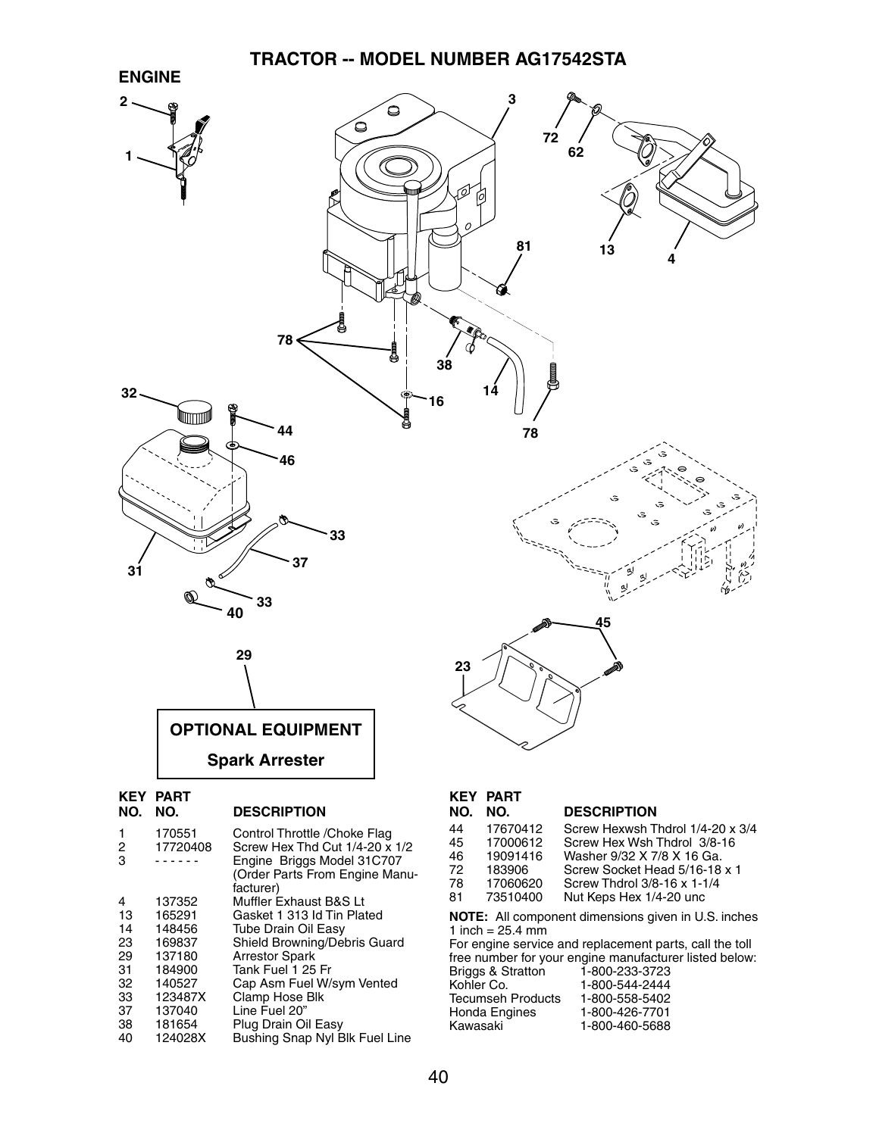### **TRACTOR -- MODEL NUMBER AG17542STA**



| <b>PART</b><br><b>KEY</b> |                                        |
|---------------------------|----------------------------------------|
| NO.                       | <b>DESCRIPTION</b>                     |
| 170551                    | Control Throttle / Choke Flag          |
| 17720408                  | Screw Hex Thd Cut 1/4-20 x 1/2         |
|                           | Engine Briggs Model 31C707             |
|                           | (Order Parts From Engine Manu-         |
|                           | facturer)                              |
| 137352                    | Muffler Exhaust B&S Lt                 |
| 165291                    | Gasket 1 313 Id Tin Plated             |
| 148456                    | <b>Tube Drain Oil Easy</b>             |
| 169837                    | Shield Browning/Debris Guard           |
| 137180                    | <b>Arrestor Spark</b>                  |
| 184900                    | Tank Fuel 1 25 Fr                      |
| 140527                    | Cap Asm Fuel W/sym Vented              |
|                           | Clamp Hose Blk                         |
|                           | Line Fuel 20"                          |
|                           | Plug Drain Oil Easy                    |
|                           | Bushing Snap Nyl Blk Fuel Line         |
|                           |                                        |
|                           | 123487X<br>137040<br>181654<br>124028X |

#### **KEY PART NO. NO. DESCRIPTION** 44 17670412 Screw Hexwsh Thdrol 1/4-20 x 3/4 45 17000612 Screw Hex Wsh Thdrol 3/8-16 46 19091416 Washer 9/32 X 7/8 X 16 Ga. 72 183906 Screw Socket Head 5/16-18 x 1 78 17060620 Screw Thdrol 3/8-16 x 1-1/4 Nut Keps Hex 1/4-20 unc

**NOTE:** All component dimensions given in U.S. inches 1 inch =  $25.4$  mm

For engine service and replacement parts, call the toll free number for your engine manufacturer listed below:

| Briggs & Stratton | 1-800-233-3723 |
|-------------------|----------------|
| Kohler Co.        | 1-800-544-2444 |
| Tecumseh Products | 1-800-558-5402 |
| Honda Engines     | 1-800-426-7701 |
| Kawasaki          | 1-800-460-5688 |
|                   |                |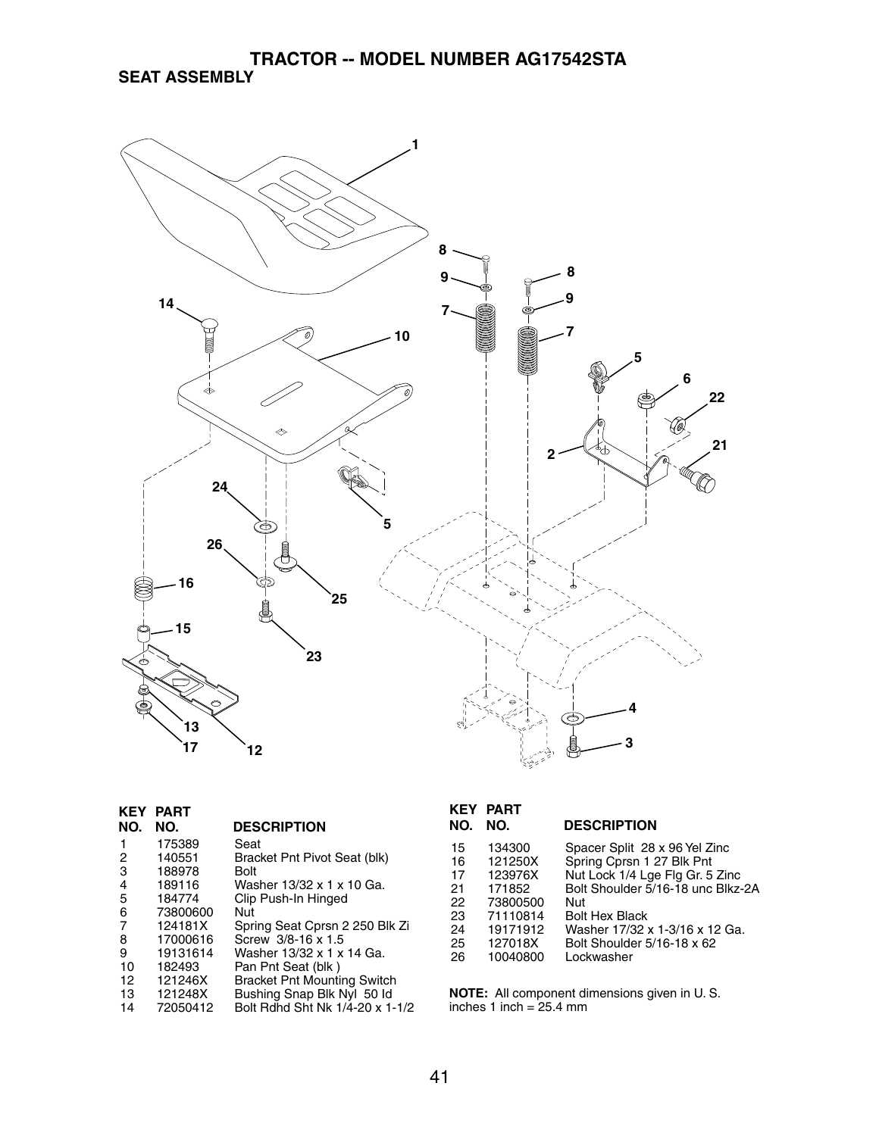

| KEY | <b>PART</b> |                                    |
|-----|-------------|------------------------------------|
| NO. | NO.         | <b>DESCRIPTION</b>                 |
| 1   | 175389      | Seat                               |
| 2   | 140551      | Bracket Pnt Pivot Seat (blk)       |
| 3   | 188978      | Bolt                               |
| 4   | 189116      | Washer 13/32 x 1 x 10 Ga.          |
| 5   | 184774      | Clip Push-In Hinged                |
| 6   | 73800600    | Nut                                |
| 7   | 124181X     | Spring Seat Cprsn 2 250 Blk Zi     |
| 8   | 17000616    | Screw 3/8-16 x 1.5                 |
| 9   | 19131614    | Washer 13/32 x 1 x 14 Ga.          |
| 10  | 182493      | Pan Pnt Seat (blk)                 |
| 12  | 121246X     | <b>Bracket Pnt Mounting Switch</b> |
| 13  | 121248X     | Bushing Snap Blk Nyl 50 ld         |
| 14  | 72050412    | Bolt Bdhd Sht Nk 1/4-20 x 1-1/2    |

| Spacer Split 28 x 96 Yel Zinc<br>134300<br>15<br>Spring Cprsn 1 27 Blk Pnt<br>121250X<br>16<br>Nut Lock 1/4 Lge Flg Gr. 5 Zinc<br>123976X<br>17<br>Bolt Shoulder 5/16-18 unc Blkz-2A<br>21<br>171852<br>22<br>73800500<br>Nut<br>23<br>71110814<br><b>Bolt Hex Black</b><br>19171912<br>Washer 17/32 x 1-3/16 x 12 Ga.<br>24 | NO. | <b>KEY PART</b><br>NO. | <b>DESCRIPTION</b> |
|------------------------------------------------------------------------------------------------------------------------------------------------------------------------------------------------------------------------------------------------------------------------------------------------------------------------------|-----|------------------------|--------------------|
| 127018X<br>Bolt Shoulder 5/16-18 x 62<br>25<br>10040800<br>26<br>Lockwasher                                                                                                                                                                                                                                                  |     |                        |                    |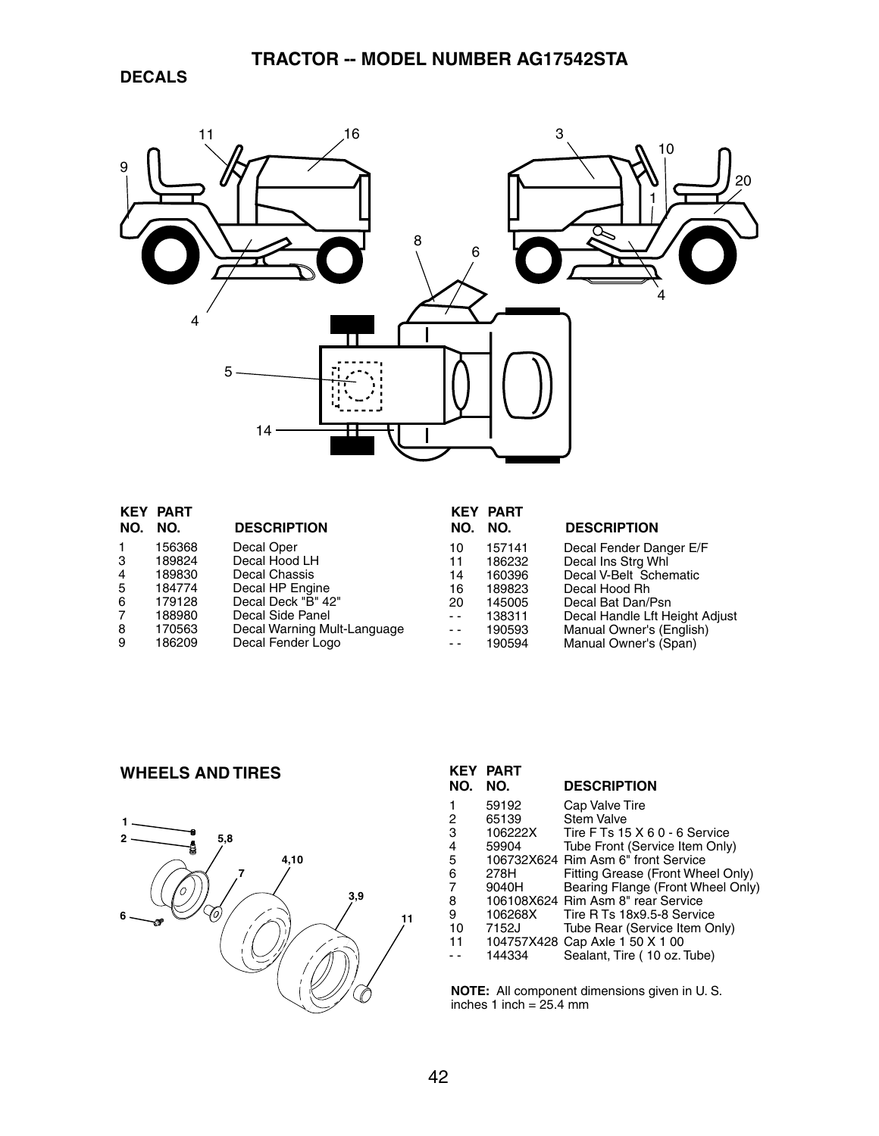**DECALS**



|                | <b>KEY PART</b> |                             |               | <b>KEY PART</b> |                                |
|----------------|-----------------|-----------------------------|---------------|-----------------|--------------------------------|
| NO.            | NO.             | <b>DESCRIPTION</b>          | NO.           | NO.             | <b>DESCRIPTION</b>             |
| -1             | 156368          | Decal Oper                  | 10            | 157141          | Decal Fender Danger E/F        |
| 3              | 189824          | Decal Hood LH               | 11            | 186232          | Decal Ins Strg Whl             |
| $\overline{4}$ | 189830          | Decal Chassis               | 14            | 160396          | Decal V-Belt Schematic         |
| 5              | 184774          | Decal HP Engine             | 16            | 189823          | Decal Hood Rh                  |
| -6             | 179128          | Decal Deck "B" 42"          | 20            | 145005          | Decal Bat Dan/Psn              |
| 7              | 188980          | Decal Side Panel            | $ -$          | 138311          | Decal Handle Lft Height Adjust |
| 8              | 170563          | Decal Warning Mult-Language | $\sim$ $\sim$ | 190593          | Manual Owner's (English)       |
| 9              | 186209          | Decal Fender Logo           | $ -$          | 190594          | Manual Owner's (Span)          |

### **WHEELS AND TIRES**



| KEY | <b>PART</b> |                                     |
|-----|-------------|-------------------------------------|
| NO. | NO.         | <b>DESCRIPTION</b>                  |
| 1   | 59192       | Cap Valve Tire                      |
| 2   | 65139       | <b>Stem Valve</b>                   |
| 3   | 106222X     | Tire F Ts 15 X 6 0 - 6 Service      |
| 4   | 59904       | Tube Front (Service Item Only)      |
| 5   |             | 106732X624 Rim Asm 6" front Service |
| 6   | 278H        | Fitting Grease (Front Wheel Only)   |
| 7   | 9040H       | Bearing Flange (Front Wheel Only)   |
| 8   |             | 106108X624 Rim Asm 8" rear Service  |
| 9   | 106268X     | Tire R Ts 18x9.5-8 Service          |
| 10  | 7152J       | Tube Rear (Service Item Only)       |
| 11  |             | 104757X428 Cap Axle 1 50 X 1 00     |
|     | 144334      | Sealant, Tire (10 oz. Tube)         |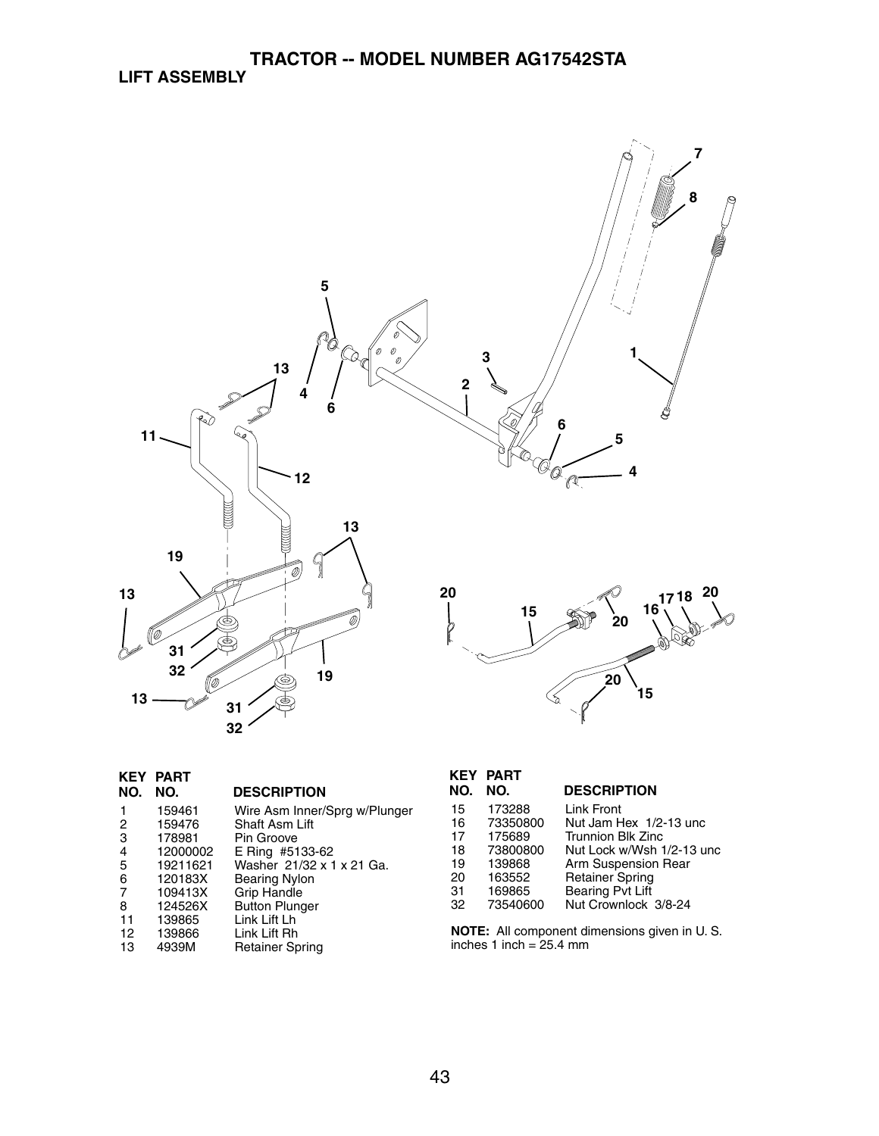

| <b>KEY</b> | PART     |                               |
|------------|----------|-------------------------------|
| NO.        | NO.      | <b>DESCRIPTION</b>            |
| 1          | 159461   | Wire Asm Inner/Sprg w/Plunger |
| 2          | 159476   | Shaft Asm Lift                |
| 3          | 178981   | Pin Groove                    |
| 4          | 12000002 | E Ring #5133-62               |
| 5          | 19211621 | Washer 21/32 x 1 x 21 Ga.     |
| 6          | 120183X  | Bearing Nylon                 |
| 7          | 109413X  | <b>Grip Handle</b>            |
| 8          | 124526X  | <b>Button Plunger</b>         |
| 11         | 139865   | Link Lift Lh                  |
| 12         | 139866   | Link Lift Rh                  |
| 13         | 4939M    | <b>Retainer Spring</b>        |

| NO. | <b>KEY PART</b><br>NO. | <b>DESCRIPTION</b>        |
|-----|------------------------|---------------------------|
|     |                        |                           |
| 15  | 173288                 | Link Front                |
| 16  | 73350800               | Nut Jam Hex 1/2-13 unc    |
| 17  | 175689                 | <b>Trunnion Blk Zinc</b>  |
| 18  | 73800800               | Nut Lock w/Wsh 1/2-13 unc |
| 19  | 139868                 | Arm Suspension Rear       |
| 20  | 163552                 | <b>Retainer Spring</b>    |
| 31  | 169865                 | Bearing Pvt Lift          |
| 32  | 73540600               | Nut Crownlock 3/8-24      |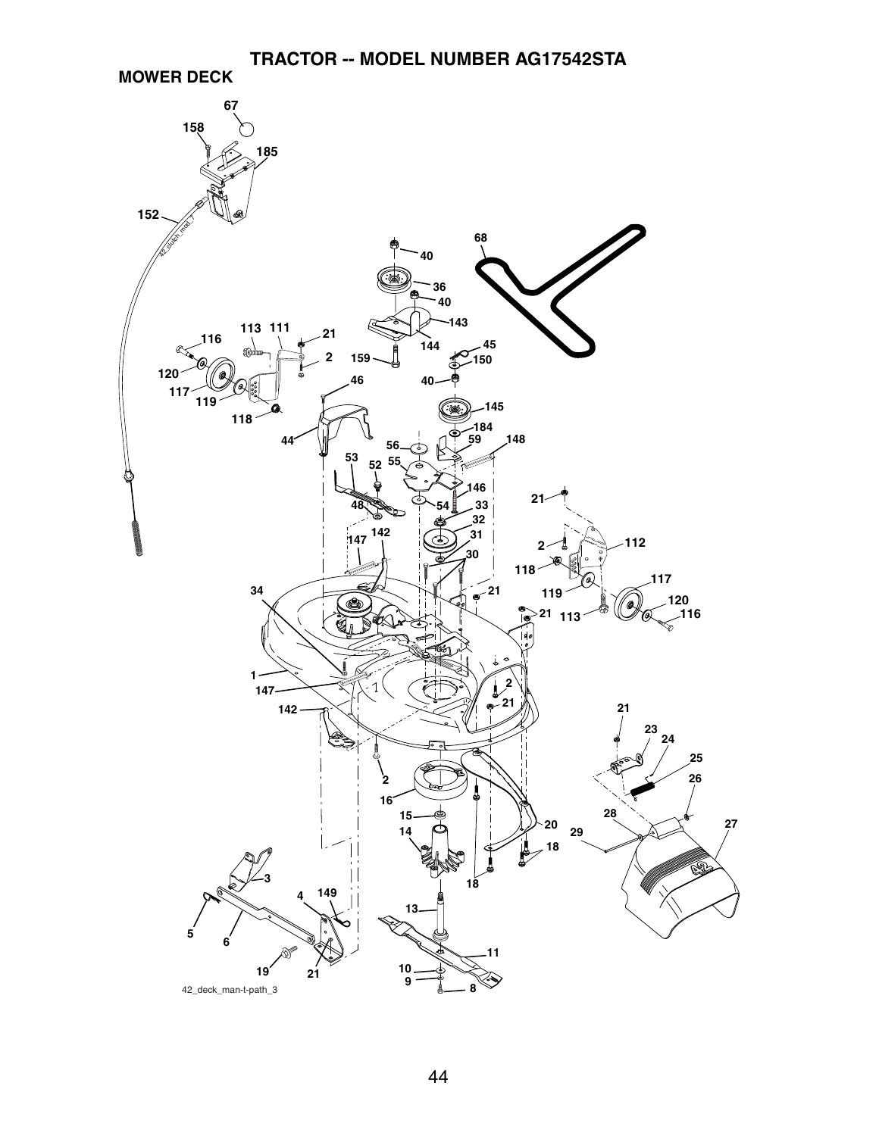**MOWER DECK**